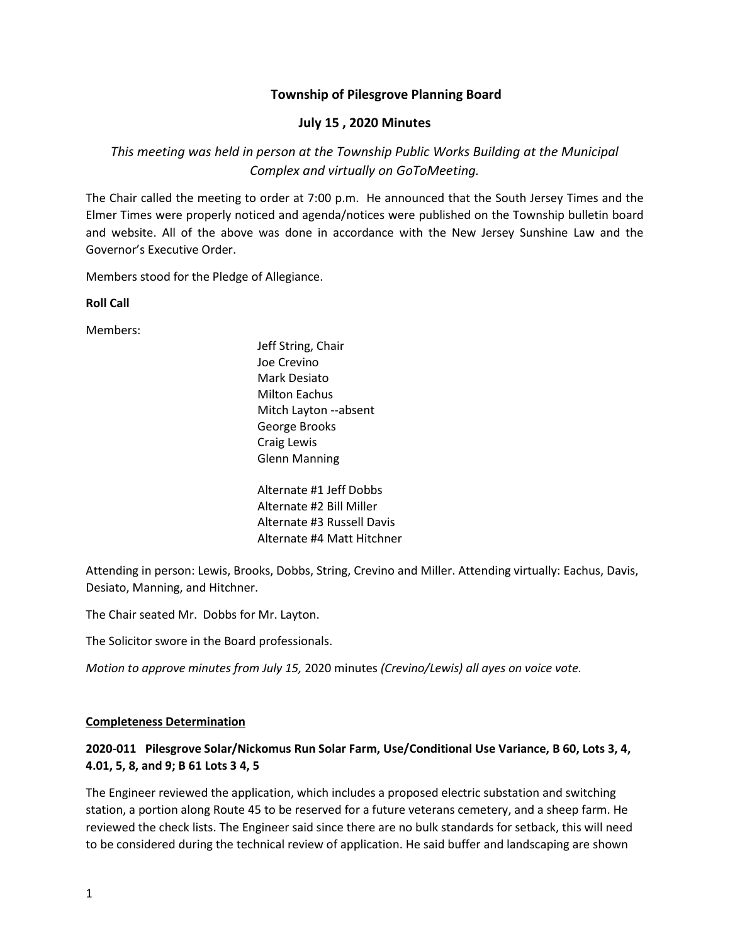## **Township of Pilesgrove Planning Board**

## **July 15 , 2020 Minutes**

# *This meeting was held in person at the Township Public Works Building at the Municipal Complex and virtually on GoToMeeting.*

The Chair called the meeting to order at 7:00 p.m. He announced that the South Jersey Times and the Elmer Times were properly noticed and agenda/notices were published on the Township bulletin board and website. All of the above was done in accordance with the New Jersey Sunshine Law and the Governor's Executive Order.

Members stood for the Pledge of Allegiance.

**Roll Call**

Members:

Jeff String, Chair Joe Crevino Mark Desiato Milton Eachus Mitch Layton --absent George Brooks Craig Lewis Glenn Manning

Alternate #1 Jeff Dobbs Alternate #2 Bill Miller Alternate #3 Russell Davis Alternate #4 Matt Hitchner

Attending in person: Lewis, Brooks, Dobbs, String, Crevino and Miller. Attending virtually: Eachus, Davis, Desiato, Manning, and Hitchner.

The Chair seated Mr. Dobbs for Mr. Layton.

The Solicitor swore in the Board professionals.

*Motion to approve minutes from July 15,* 2020 minutes *(Crevino/Lewis) all ayes on voice vote.*

#### **Completeness Determination**

# **2020-011 Pilesgrove Solar/Nickomus Run Solar Farm, Use/Conditional Use Variance, B 60, Lots 3, 4, 4.01, 5, 8, and 9; B 61 Lots 3 4, 5**

The Engineer reviewed the application, which includes a proposed electric substation and switching station, a portion along Route 45 to be reserved for a future veterans cemetery, and a sheep farm. He reviewed the check lists. The Engineer said since there are no bulk standards for setback, this will need to be considered during the technical review of application. He said buffer and landscaping are shown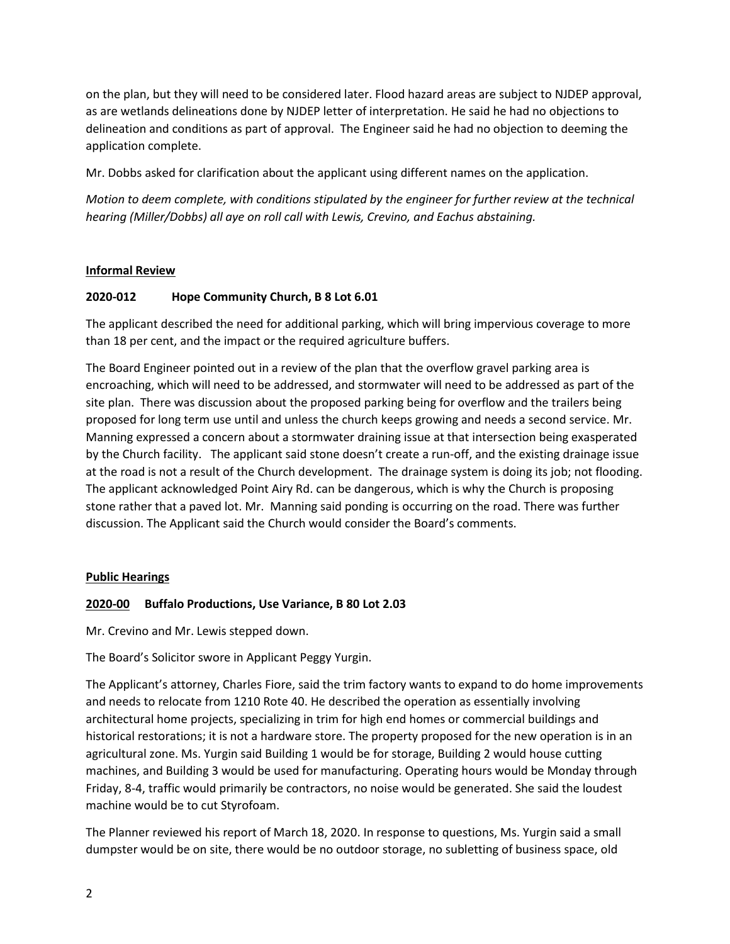on the plan, but they will need to be considered later. Flood hazard areas are subject to NJDEP approval, as are wetlands delineations done by NJDEP letter of interpretation. He said he had no objections to delineation and conditions as part of approval. The Engineer said he had no objection to deeming the application complete.

Mr. Dobbs asked for clarification about the applicant using different names on the application.

*Motion to deem complete, with conditions stipulated by the engineer for further review at the technical hearing (Miller/Dobbs) all aye on roll call with Lewis, Crevino, and Eachus abstaining.*

### **Informal Review**

### **2020-012 Hope Community Church, B 8 Lot 6.01**

The applicant described the need for additional parking, which will bring impervious coverage to more than 18 per cent, and the impact or the required agriculture buffers.

The Board Engineer pointed out in a review of the plan that the overflow gravel parking area is encroaching, which will need to be addressed, and stormwater will need to be addressed as part of the site plan. There was discussion about the proposed parking being for overflow and the trailers being proposed for long term use until and unless the church keeps growing and needs a second service. Mr. Manning expressed a concern about a stormwater draining issue at that intersection being exasperated by the Church facility. The applicant said stone doesn't create a run-off, and the existing drainage issue at the road is not a result of the Church development. The drainage system is doing its job; not flooding. The applicant acknowledged Point Airy Rd. can be dangerous, which is why the Church is proposing stone rather that a paved lot. Mr. Manning said ponding is occurring on the road. There was further discussion. The Applicant said the Church would consider the Board's comments.

### **Public Hearings**

### **2020-00 Buffalo Productions, Use Variance, B 80 Lot 2.03**

Mr. Crevino and Mr. Lewis stepped down.

The Board's Solicitor swore in Applicant Peggy Yurgin.

The Applicant's attorney, Charles Fiore, said the trim factory wants to expand to do home improvements and needs to relocate from 1210 Rote 40. He described the operation as essentially involving architectural home projects, specializing in trim for high end homes or commercial buildings and historical restorations; it is not a hardware store. The property proposed for the new operation is in an agricultural zone. Ms. Yurgin said Building 1 would be for storage, Building 2 would house cutting machines, and Building 3 would be used for manufacturing. Operating hours would be Monday through Friday, 8-4, traffic would primarily be contractors, no noise would be generated. She said the loudest machine would be to cut Styrofoam.

The Planner reviewed his report of March 18, 2020. In response to questions, Ms. Yurgin said a small dumpster would be on site, there would be no outdoor storage, no subletting of business space, old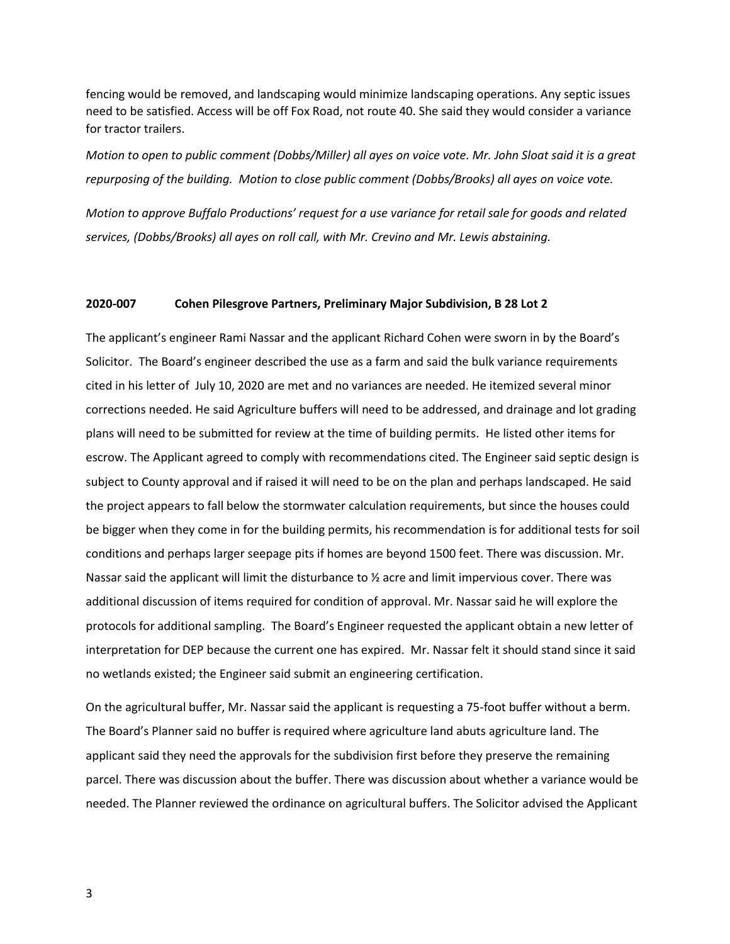fencing would be removed, and landscaping would minimize landscaping operations. Any septic issues need to be satisfied. Access will be off Fox Road, not route 40. She said they would consider a variance for tractor trailers.

*Motion to open to public comment (Dobbs/Miller) all ayes on voice vote. Mr. John Sloat said it is a great repurposing of the building. Motion to close public comment (Dobbs/Brooks) all ayes on voice vote.* 

*Motion to approve Buffalo Productions' request for a use variance for retail sale for goods and related services, (Dobbs/Brooks) all ayes on roll call, with Mr. Crevino and Mr. Lewis abstaining.*

#### **2020-007 Cohen Pilesgrove Partners, Preliminary Major Subdivision, B 28 Lot 2**

The applicant's engineer Rami Nassar and the applicant Richard Cohen were sworn in by the Board's Solicitor. The Board's engineer described the use as a farm and said the bulk variance requirements cited in his letter of July 10, 2020 are met and no variances are needed. He itemized several minor corrections needed. He said Agriculture buffers will need to be addressed, and drainage and lot grading plans will need to be submitted for review at the time of building permits. He listed other items for escrow. The Applicant agreed to comply with recommendations cited. The Engineer said septic design is subject to County approval and if raised it will need to be on the plan and perhaps landscaped. He said the project appears to fall below the stormwater calculation requirements, but since the houses could be bigger when they come in for the building permits, his recommendation is for additional tests for soil conditions and perhaps larger seepage pits if homes are beyond 1500 feet. There was discussion. Mr. Nassar said the applicant will limit the disturbance to ½ acre and limit impervious cover. There was additional discussion of items required for condition of approval. Mr. Nassar said he will explore the protocols for additional sampling. The Board's Engineer requested the applicant obtain a new letter of interpretation for DEP because the current one has expired. Mr. Nassar felt it should stand since it said no wetlands existed; the Engineer said submit an engineering certification.

On the agricultural buffer, Mr. Nassar said the applicant is requesting a 75-foot buffer without a berm. The Board's Planner said no buffer is required where agriculture land abuts agriculture land. The applicant said they need the approvals for the subdivision first before they preserve the remaining parcel. There was discussion about the buffer. There was discussion about whether a variance would be needed. The Planner reviewed the ordinance on agricultural buffers. The Solicitor advised the Applicant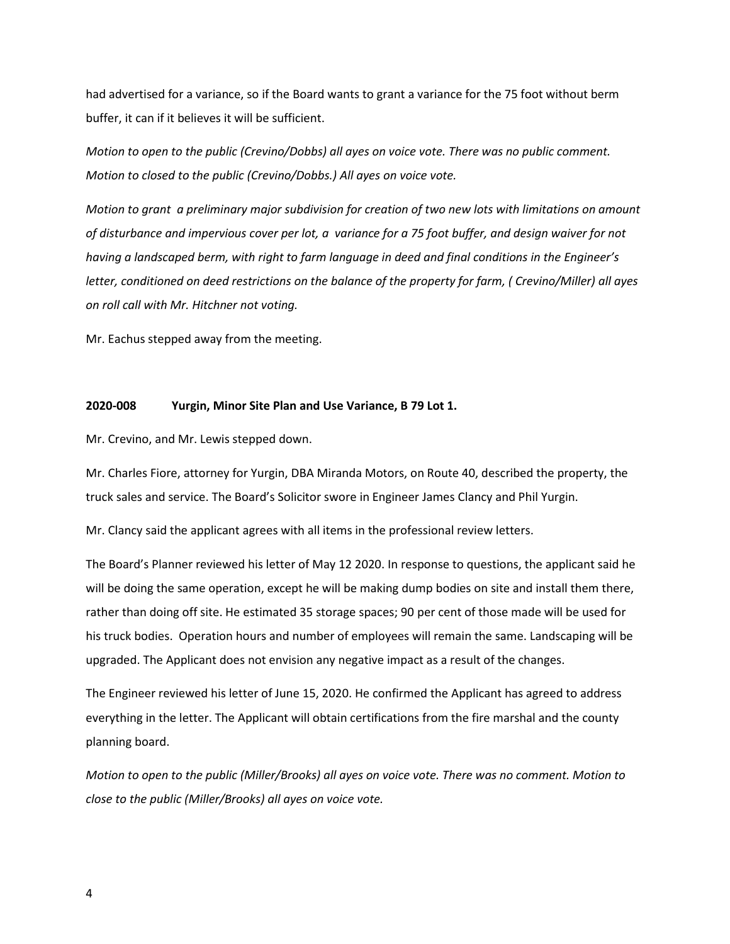had advertised for a variance, so if the Board wants to grant a variance for the 75 foot without berm buffer, it can if it believes it will be sufficient.

*Motion to open to the public (Crevino/Dobbs) all ayes on voice vote. There was no public comment. Motion to closed to the public (Crevino/Dobbs.) All ayes on voice vote.*

*Motion to grant a preliminary major subdivision for creation of two new lots with limitations on amount of disturbance and impervious cover per lot, a variance for a 75 foot buffer, and design waiver for not having a landscaped berm, with right to farm language in deed and final conditions in the Engineer's letter, conditioned on deed restrictions on the balance of the property for farm, ( Crevino/Miller) all ayes on roll call with Mr. Hitchner not voting.* 

Mr. Eachus stepped away from the meeting.

#### **2020-008 Yurgin, Minor Site Plan and Use Variance, B 79 Lot 1.**

Mr. Crevino, and Mr. Lewis stepped down.

Mr. Charles Fiore, attorney for Yurgin, DBA Miranda Motors, on Route 40, described the property, the truck sales and service. The Board's Solicitor swore in Engineer James Clancy and Phil Yurgin.

Mr. Clancy said the applicant agrees with all items in the professional review letters.

The Board's Planner reviewed his letter of May 12 2020. In response to questions, the applicant said he will be doing the same operation, except he will be making dump bodies on site and install them there, rather than doing off site. He estimated 35 storage spaces; 90 per cent of those made will be used for his truck bodies. Operation hours and number of employees will remain the same. Landscaping will be upgraded. The Applicant does not envision any negative impact as a result of the changes.

The Engineer reviewed his letter of June 15, 2020. He confirmed the Applicant has agreed to address everything in the letter. The Applicant will obtain certifications from the fire marshal and the county planning board.

*Motion to open to the public (Miller/Brooks) all ayes on voice vote. There was no comment. Motion to close to the public (Miller/Brooks) all ayes on voice vote.*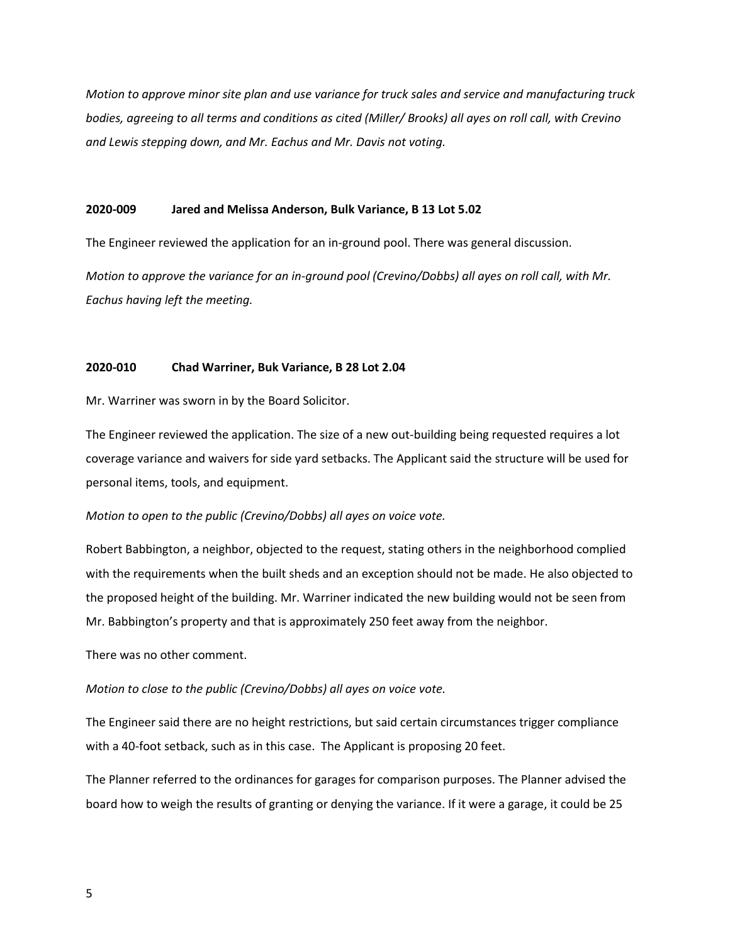*Motion to approve minor site plan and use variance for truck sales and service and manufacturing truck bodies, agreeing to all terms and conditions as cited (Miller/ Brooks) all ayes on roll call, with Crevino and Lewis stepping down, and Mr. Eachus and Mr. Davis not voting.* 

### **2020-009 Jared and Melissa Anderson, Bulk Variance, B 13 Lot 5.02**

The Engineer reviewed the application for an in-ground pool. There was general discussion.

*Motion to approve the variance for an in-ground pool (Crevino/Dobbs) all ayes on roll call, with Mr. Eachus having left the meeting.* 

#### **2020-010 Chad Warriner, Buk Variance, B 28 Lot 2.04**

Mr. Warriner was sworn in by the Board Solicitor.

The Engineer reviewed the application. The size of a new out-building being requested requires a lot coverage variance and waivers for side yard setbacks. The Applicant said the structure will be used for personal items, tools, and equipment.

*Motion to open to the public (Crevino/Dobbs) all ayes on voice vote.* 

Robert Babbington, a neighbor, objected to the request, stating others in the neighborhood complied with the requirements when the built sheds and an exception should not be made. He also objected to the proposed height of the building. Mr. Warriner indicated the new building would not be seen from Mr. Babbington's property and that is approximately 250 feet away from the neighbor.

There was no other comment.

*Motion to close to the public (Crevino/Dobbs) all ayes on voice vote.* 

The Engineer said there are no height restrictions, but said certain circumstances trigger compliance with a 40-foot setback, such as in this case. The Applicant is proposing 20 feet.

The Planner referred to the ordinances for garages for comparison purposes. The Planner advised the board how to weigh the results of granting or denying the variance. If it were a garage, it could be 25